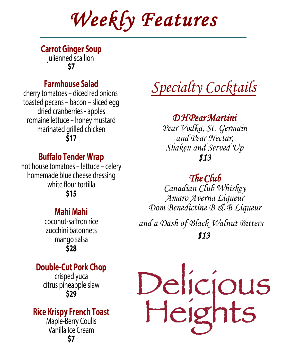# *Weekly Features*

**Carrot Ginger Soup**  julienned scallion **\$7**

### **Farmhouse Salad**

cherry tomatoes – diced red onions toasted pecans – bacon – sliced egg dried cranberries - apples romaine lettuce – honey mustard marinated grilled chicken **\$17**

### **Buffalo Tender Wrap**

hot house tomatoes – lettuce – celery homemade blue cheese dressing white flour tortilla **\$15**

### **Mahi Mahi**

coconut-saffron rice zucchini batonnets mango salsa **\$28**

### **Double-Cut Pork Chop**

crisped yuca citrus pineapple slaw **\$29**

### **Rice Krispy French Toast**

Maple-Berry Coulis Vanilla Ice Cream **\$7**

*Specialty Cocktails*

### *D H Pear Martini*

*Pear Vodka, St. Germain and Pear Nectar, Shaken and Served Up \$13*

# *The Club*

*Canadian Club Whiskey Amaro Averna Liqueur Dom Benedictine B & B Liqueur and a Dash of Black Walnut Bitters \$13*

Delicjous<br>Heights